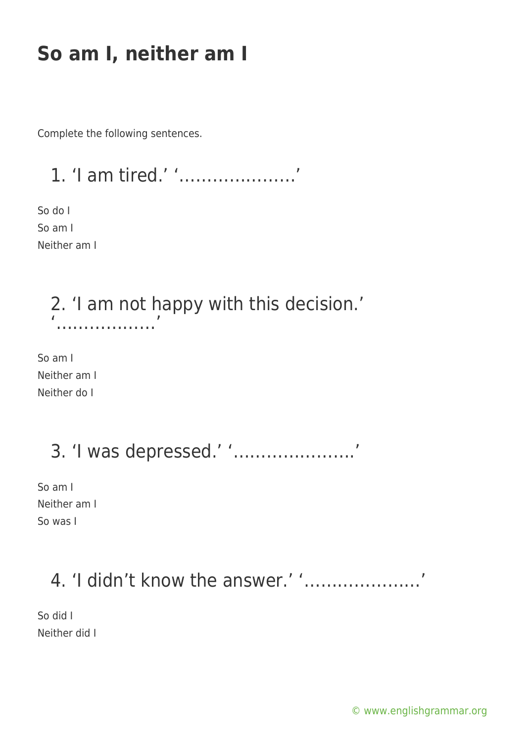# **So am I, neither am I**

Complete the following sentences.

1. 'I am tired.' '…………………'

So do I So am I Neither am I

> 2. 'I am not happy with this decision.' '………………'

So am I Neither am I Neither do I

3. 'I was depressed.' '………………….'

So am I Neither am I So was I

### 4. 'I didn't know the answer.' '…………………'

So did I Neither did I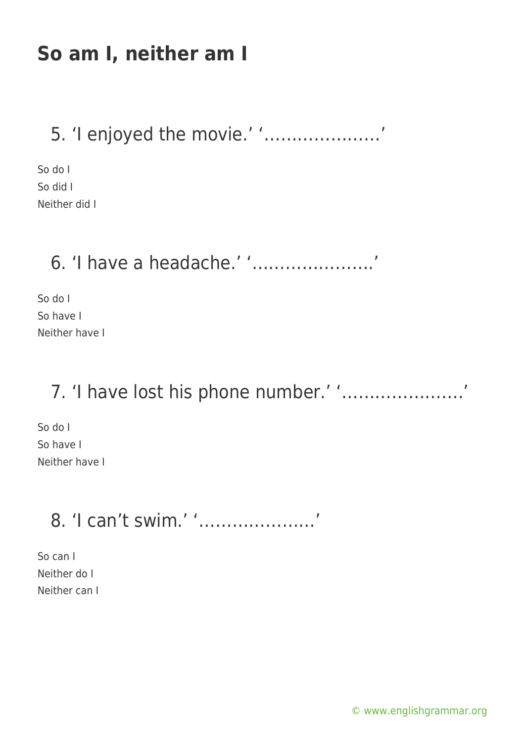# **So am I, neither am I**

### 5. 'I enjoyed the movie.' '…………………'

So do I So did I Neither did I

## 6. 'I have a headache.' '………………….'

So do I So have I Neither have I

## 7. 'I have lost his phone number.' '………………….'

So do I So have I Neither have I

## 8. 'I can't swim.' '…………………'

So can I Neither do I Neither can I

[© www.englishgrammar.org](https://www.englishgrammar.org/)